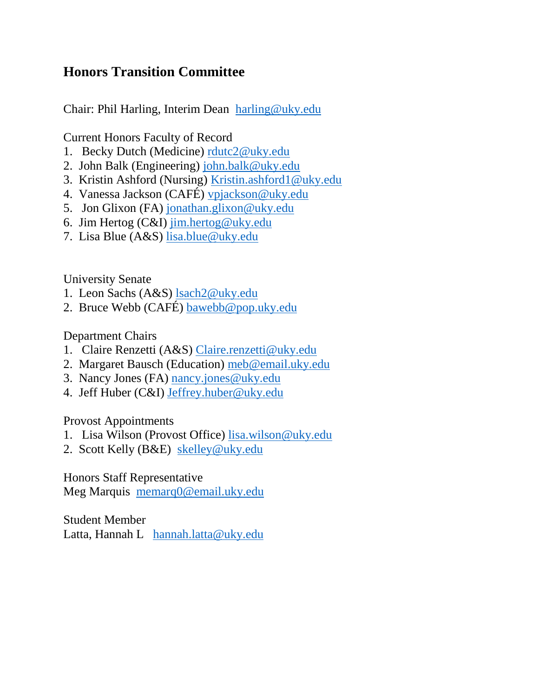## **Honors Transition Committee**

Chair: Phil Harling, Interim Dean [harling@uky.edu](mailto:harling@uky.edu)

Current Honors Faculty of Record

- 1. Becky Dutch (Medicine) [rdutc2@uky.edu](mailto:rdutc2@uky.edu)
- 2. John Balk (Engineering) [john.balk@uky.edu](mailto:john.balk@uky.edu)
- 3. Kristin Ashford (Nursing) [Kristin.ashford1@uky.edu](mailto:Kristin.ashford1@uky.edu)
- 4. Vanessa Jackson (CAFÉ) [vpjackson@uky.edu](mailto:vpjackson@uky.edu)
- 5. Jon Glixon (FA) [jonathan.glixon@uky.edu](mailto:jonathan.glixon@uky.edu)
- 6. Jim Hertog (C&I) [jim.hertog@uky.edu](mailto:jim.hertog@uky.edu)
- 7. Lisa Blue (A&S) [lisa.blue@uky.edu](mailto:lisa.blue@uky.edu)

University Senate

- 1. Leon Sachs (A&S) [lsach2@uky.edu](mailto:lsach2@uky.edu)
- 2. Bruce Webb (CAFÉ) [bawebb@pop.uky.edu](mailto:bawebb@pop.uky.edu)

Department Chairs

- 1. Claire Renzetti (A&S) [Claire.renzetti@uky.edu](mailto:Claire.renzetti@uky.edu)
- 2. Margaret Bausch (Education) [meb@email.uky.edu](mailto:meb@email.uky.edu)
- 3. Nancy Jones (FA) [nancy.jones@uky.edu](mailto:nancy.jones@uky.edu)
- 4. Jeff Huber (C&I) [Jeffrey.huber@uky.edu](mailto:Jeffrey.huber@uky.edu)

Provost Appointments

- 1. Lisa Wilson (Provost Office) [lisa.wilson@uky.edu](mailto:lisa.wilson@uky.edu)
- 2. Scott Kelly (B&E) [skelley@uky.edu](mailto:skelley@uky.edu)

Honors Staff Representative Meg Marquis [memarq0@email.uky.edu](mailto:memarq0@email.uky.edu)

Student Member Latta, Hannah L [hannah.latta@uky.edu](mailto:hannah.latta@uky.edu)